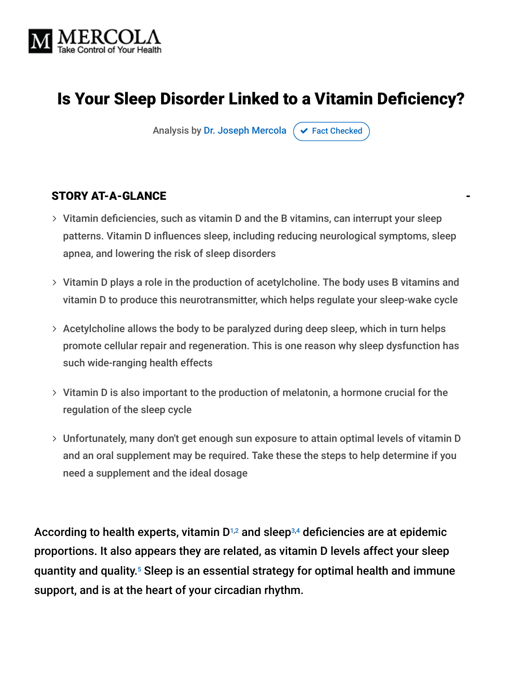

# Is Your Sleep Disorder Linked to a Vitamin Deficiency?

Analysis by [Dr. Joseph Mercola](https://www.mercola.com/forms/background.htm)  $\sigma$  [Fact Checked](javascript:void(0))

### STORY AT-A-GLANCE

- Vitamin deficiencies, such as vitamin D and the B vitamins, can interrupt your sleep patterns. Vitamin D influences sleep, including reducing neurological symptoms, sleep apnea, and lowering the risk of sleep disorders
- Vitamin D plays a role in the production of acetylcholine. The body uses B vitamins and vitamin D to produce this neurotransmitter, which helps regulate your sleep-wake cycle
- $>$  Acetylcholine allows the body to be paralyzed during deep sleep, which in turn helps promote cellular repair and regeneration. This is one reason why sleep dysfunction has such wide-ranging health effects
- Vitamin D is also important to the production of melatonin, a hormone crucial for the regulation of the sleep cycle
- Unfortunately, many don't get enough sun exposure to attain optimal levels of vitamin D and an oral supplement may be required. Take these the steps to help determine if you need a supplement and the ideal dosage

According to health experts, vitamin D $1,2$  and sleep $^{3,4}$  deficiencies are at epidemic proportions. It also appears they are related, as vitamin D levels affect your sleep quantity and quality.<sup>5</sup> Sleep is an essential strategy for optimal health and immune support, and is at the heart of your circadian rhythm.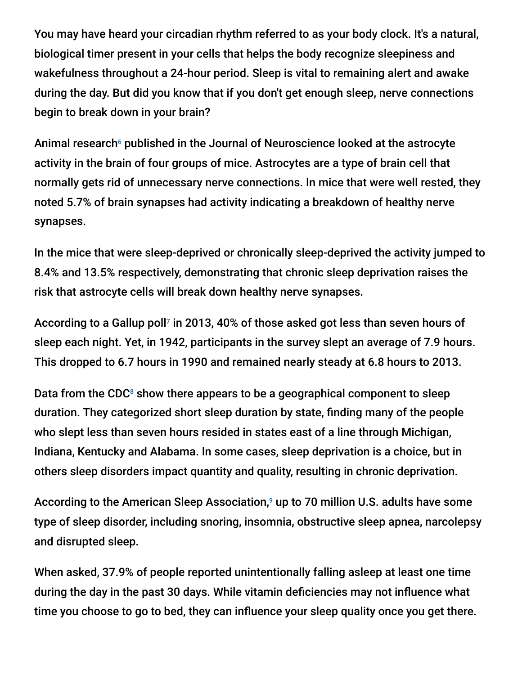You may have heard your circadian rhythm referred to as your body clock. It's a natural, biological timer present in your cells that helps the body recognize sleepiness and wakefulness throughout a 24-hour period. Sleep is vital to remaining alert and awake during the day. But did you know that if you don't get enough sleep, nerve connections begin to break down in your brain?

Animal research<sup>6</sup> published in the Journal of Neuroscience looked at the astrocyte activity in the brain of four groups of mice. Astrocytes are a type of brain cell that normally gets rid of unnecessary nerve connections. In mice that were well rested, they noted 5.7% of brain synapses had activity indicating a breakdown of healthy nerve synapses.

In the mice that were sleep-deprived or chronically sleep-deprived the activity jumped to 8.4% and 13.5% respectively, demonstrating that chronic sleep deprivation raises the risk that astrocyte cells will break down healthy nerve synapses.

According to a Gallup poll<sup>7</sup> in 2013, 40% of those asked got less than seven hours of sleep each night. Yet, in 1942, participants in the survey slept an average of 7.9 hours. This dropped to 6.7 hours in 1990 and remained nearly steady at 6.8 hours to 2013.

Data from the CDC $<sup>8</sup>$  show there appears to be a geographical component to sleep</sup> duration. They categorized short sleep duration by state, finding many of the people who slept less than seven hours resided in states east of a line through Michigan, Indiana, Kentucky and Alabama. In some cases, sleep deprivation is a choice, but in others sleep disorders impact quantity and quality, resulting in chronic deprivation.

According to the American Sleep Association,<sup>9</sup> up to 70 million U.S. adults have some type of sleep disorder, including snoring, insomnia, obstructive sleep apnea, narcolepsy and disrupted sleep.

When asked, 37.9% of people reported unintentionally falling asleep at least one time during the day in the past 30 days. While vitamin deficiencies may not influence what time you choose to go to bed, they can influence your sleep quality once you get there.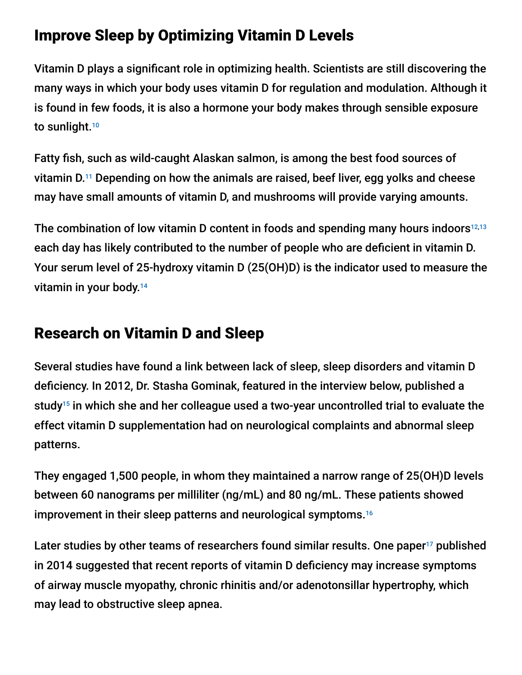## Improve Sleep by Optimizing Vitamin D Levels

Vitamin D plays a significant role in optimizing health. Scientists are still discovering the many ways in which your body uses vitamin D for regulation and modulation. Although it is found in few foods, it is also a hormone your body makes through sensible exposure to sunlight. 10

Fatty fish, such as wild-caught Alaskan salmon, is among the best food sources of vitamin D. $^{11}$  Depending on how the animals are raised, beef liver, egg yolks and cheese may have small amounts of vitamin D, and mushrooms will provide varying amounts.

The combination of low vitamin D content in foods and spending many hours indoors<sup>12,13</sup> each day has likely contributed to the number of people who are deficient in vitamin D. Your serum level of 25-hydroxy vitamin D (25(OH)D) is the indicator used to measure the vitamin in your body. 14

# Research on Vitamin D and Sleep

Several studies have found a link between lack of sleep, sleep disorders and vitamin D deficiency. In 2012, Dr. Stasha Gominak, featured in the interview below, published a study $15$  in which she and her colleague used a two-year uncontrolled trial to evaluate the effect vitamin D supplementation had on neurological complaints and abnormal sleep patterns.

They engaged 1,500 people, in whom they maintained a narrow range of 25(OH)D levels between 60 nanograms per milliliter (ng/mL) and 80 ng/mL. These patients showed improvement in their sleep patterns and neurological symptoms. 16

Later studies by other teams of researchers found similar results. One paper<sup>17</sup> published in 2014 suggested that recent reports of vitamin D deficiency may increase symptoms of airway muscle myopathy, chronic rhinitis and/or adenotonsillar hypertrophy, which may lead to obstructive sleep apnea.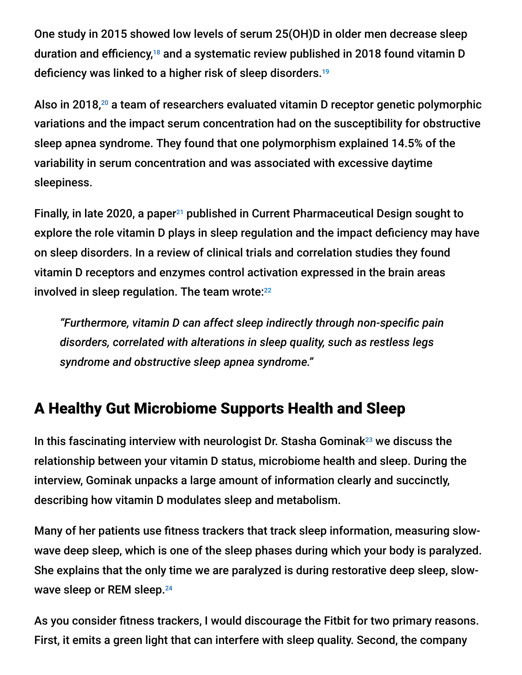One study in 2015 showed low levels of serum 25(OH)D in older men decrease sleep duration and efficiency,<sup>18</sup> and a systematic review published in 2018 found vitamin D deficiency was linked to a higher risk of sleep disorders. 19

Also in 2018, $20$  a team of researchers evaluated vitamin D receptor genetic polymorphic variations and the impact serum concentration had on the susceptibility for obstructive sleep apnea syndrome. They found that one polymorphism explained 14.5% of the variability in serum concentration and was associated with excessive daytime sleepiness.

Finally, in late 2020, a paper<sup>21</sup> published in Current Pharmaceutical Design sought to explore the role vitamin D plays in sleep regulation and the impact deficiency may have on sleep disorders. In a review of clinical trials and correlation studies they found vitamin D receptors and enzymes control activation expressed in the brain areas involved in sleep regulation. The team wrote: 22

*"Furthermore, vitamin D can affect sleep indirectly through non-specific pain disorders, correlated with alterations in sleep quality, such as restless legs syndrome and obstructive sleep apnea syndrome."*

## A Healthy Gut Microbiome Supports Health and Sleep

In this fascinating interview with neurologist Dr. Stasha Gominak $^{23}$  we discuss the relationship between your vitamin D status, microbiome health and sleep. During the interview, Gominak unpacks a large amount of information clearly and succinctly, describing how vitamin D modulates sleep and metabolism.

Many of her patients use fitness trackers that track sleep information, measuring slowwave deep sleep, which is one of the sleep phases during which your body is paralyzed. She explains that the only time we are paralyzed is during restorative deep sleep, slowwave sleep or REM sleep. 24

As you consider fitness trackers, I would discourage the Fitbit for two primary reasons. First, it emits a green light that can interfere with sleep quality. Second, the company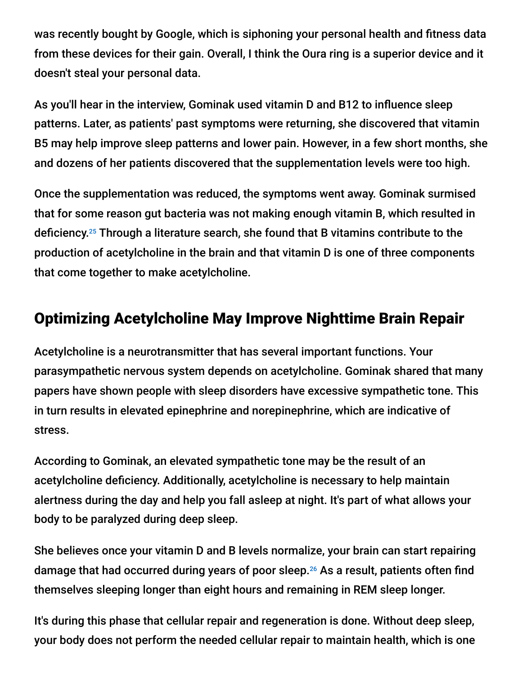was recently bought by Google, which is siphoning your personal health and fitness data from these devices for their gain. Overall, I think the Oura ring is a superior device and it doesn't steal your personal data.

As you'll hear in the interview, Gominak used vitamin D and B12 to influence sleep patterns. Later, as patients' past symptoms were returning, she discovered that vitamin B5 may help improve sleep patterns and lower pain. However, in a few short months, she and dozens of her patients discovered that the supplementation levels were too high.

Once the supplementation was reduced, the symptoms went away. Gominak surmised that for some reason gut bacteria was not making enough vitamin B, which resulted in deficiency.<sup>25</sup> Through a literature search, she found that B vitamins contribute to the production of acetylcholine in the brain and that vitamin D is one of three components that come together to make acetylcholine.

## Optimizing Acetylcholine May Improve Nighttime Brain Repair

Acetylcholine is a neurotransmitter that has several important functions. Your parasympathetic nervous system depends on acetylcholine. Gominak shared that many papers have shown people with sleep disorders have excessive sympathetic tone. This in turn results in elevated epinephrine and norepinephrine, which are indicative of stress.

According to Gominak, an elevated sympathetic tone may be the result of an acetylcholine deficiency. Additionally, acetylcholine is necessary to help maintain alertness during the day and help you fall asleep at night. It's part of what allows your body to be paralyzed during deep sleep.

She believes once your vitamin D and B levels normalize, your brain can start repairing damage that had occurred during years of poor sleep.<sup>26</sup> As a result, patients often find themselves sleeping longer than eight hours and remaining in REM sleep longer.

It's during this phase that cellular repair and regeneration is done. Without deep sleep, your body does not perform the needed cellular repair to maintain health, which is one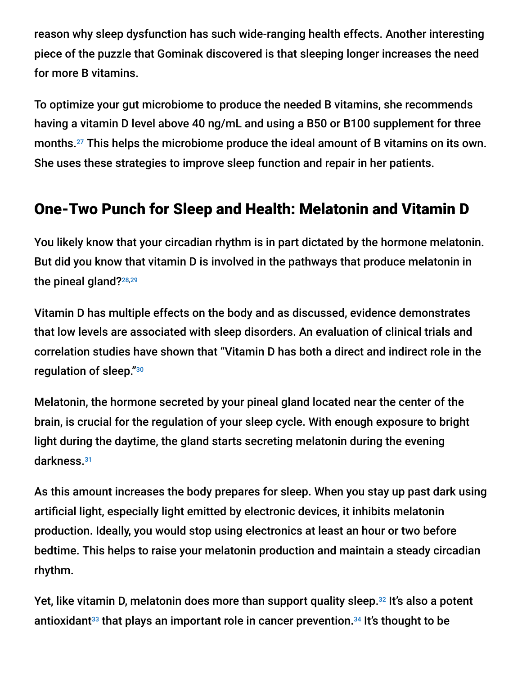reason why sleep dysfunction has such wide-ranging health effects. Another interesting piece of the puzzle that Gominak discovered is that sleeping longer increases the need for more B vitamins.

To optimize your gut microbiome to produce the needed B vitamins, she recommends having a vitamin D level above 40 ng/mL and using a B50 or B100 supplement for three months. $^{27}$  This helps the microbiome produce the ideal amount of B vitamins on its own. She uses these strategies to improve sleep function and repair in her patients.

## One-Two Punch for Sleep and Health: Melatonin and Vitamin D

You likely know that your circadian rhythm is in part dictated by the hormone melatonin. But did you know that vitamin D is involved in the pathways that produce melatonin in the pineal gland?<sup>28,29</sup>

Vitamin D has multiple effects on the body and as discussed, evidence demonstrates that low levels are associated with sleep disorders. An evaluation of clinical trials and correlation studies have shown that "Vitamin D has both a direct and indirect role in the regulation of sleep." 30

Melatonin, the hormone secreted by your pineal gland located near the center of the brain, is crucial for the regulation of your sleep cycle. With enough exposure to bright light during the daytime, the gland starts secreting melatonin during the evening darkness. 31

As this amount increases the body prepares for sleep. When you stay up past dark using artificial light, especially light emitted by electronic devices, it inhibits melatonin production. Ideally, you would stop using electronics at least an hour or two before bedtime. This helps to raise your melatonin production and maintain a steady circadian rhythm.

Yet, like vitamin D, melatonin does more than support quality sleep.<sup>32</sup> It's also a potent antioxidant<sup>33</sup> that plays an important role in cancer prevention.<sup>34</sup> It's thought to be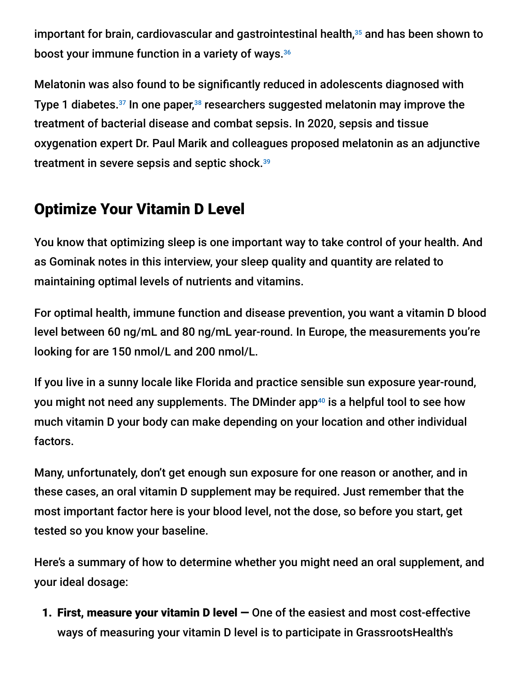important for brain, cardiovascular and gastrointestinal health, $35$  and has been shown to boost your immune function in a variety of ways. 36

Melatonin was also found to be significantly reduced in adolescents diagnosed with Type 1 diabetes. $37$  In one paper, $38$  researchers suggested melatonin may improve the treatment of bacterial disease and combat sepsis. In 2020, sepsis and tissue oxygenation expert Dr. Paul Marik and colleagues proposed melatonin as an adjunctive treatment in severe sepsis and septic shock. 39

# Optimize Your Vitamin D Level

You know that optimizing sleep is one important way to take control of your health. And as Gominak notes in this interview, your sleep quality and quantity are related to maintaining optimal levels of nutrients and vitamins.

For optimal health, immune function and disease prevention, you want a vitamin D blood level between 60 ng/mL and 80 ng/mL year-round. In Europe, the measurements you're looking for are 150 nmol/L and 200 nmol/L.

If you live in a sunny locale like Florida and practice sensible sun exposure year-round, you might not need any supplements. The DMinder app<sup>40</sup> is a helpful tool to see how much vitamin D your body can make depending on your location and other individual factors.

Many, unfortunately, don't get enough sun exposure for one reason or another, and in these cases, an oral vitamin D supplement may be required. Just remember that the most important factor here is your blood level, not the dose, so before you start, get tested so you know your baseline.

Here's a summary of how to determine whether you might need an oral supplement, and your ideal dosage:

1. First, measure your vitamin D level — One of the easiest and most cost-effective ways of measuring your vitamin D level is to participate in GrassrootsHealth's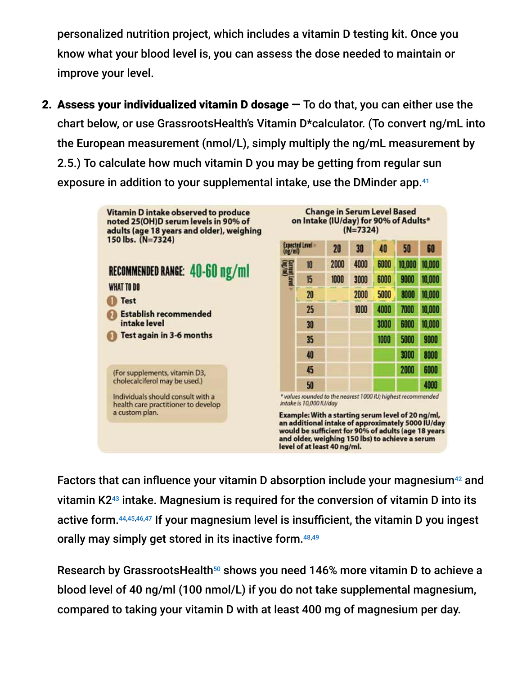personalized nutrition project, which includes a vitamin D testing kit. Once you know what your blood level is, you can assess the dose needed to maintain or improve your level.

2. Assess your individualized vitamin D dosage  $-$  To do that, you can either use the chart below, or use GrassrootsHealth's Vitamin D\*calculator. (To convert ng/mL into the European measurement (nmol/L), simply multiply the ng/mL measurement by 2.5.) To calculate how much vitamin D you may be getting from regular sun exposure in addition to your supplemental intake, use the DMinder app. 41



Factors that can influence your vitamin D absorption include your magnesium<sup>42</sup> and vitamin K2 $43$  intake. Magnesium is required for the conversion of vitamin D into its active form.<sup>44,45,46,47</sup> If your magnesium level is insufficient, the vitamin D you ingest orally may simply get stored in its inactive form. 48,49

Research by GrassrootsHealth50 shows you need 146% more vitamin D to achieve a blood level of 40 ng/ml (100 nmol/L) if you do not take supplemental magnesium, compared to taking your vitamin D with at least 400 mg of magnesium per day.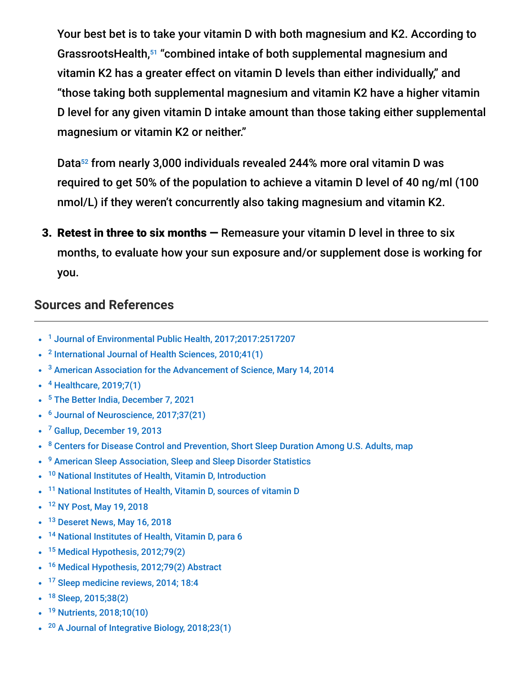Your best bet is to take your vitamin D with both magnesium and K2. According to GrassrootsHealth,<sup>51</sup> "combined intake of both supplemental magnesium and vitamin K2 has a greater effect on vitamin D levels than either individually," and "those taking both supplemental magnesium and vitamin K2 have a higher vitamin D level for any given vitamin D intake amount than those taking either supplemental magnesium or vitamin K2 or neither."

Data<sup>52</sup> from nearly 3,000 individuals revealed 244% more oral vitamin D was required to get 50% of the population to achieve a vitamin D level of 40 ng/ml (100 nmol/L) if they weren't concurrently also taking magnesium and vitamin K2.

3. Retest in three to six months  $-$  Remeasure your vitamin D level in three to six months, to evaluate how your sun exposure and/or supplement dose is working for you.

#### **Sources and References**

- <sup>1</sup> [Journal of Environmental Public Health, 2017;2017:2517207](https://www.ncbi.nlm.nih.gov/labs/pmc/articles/PMC5394390/)
- $2$  [International Journal of Health Sciences, 2010;41\(1\)](https://www.ncbi.nlm.nih.gov/labs/pmc/articles/PMC3068797/)
- $3$  [American Association for the Advancement of Science, Mary 14, 2014](https://www.aaas.org/news/sleep-deprivation-described-serious-public-health-problem)
- <sup>4</sup> [Healthcare, 2019;7\(1\)](https://www.ncbi.nlm.nih.gov/labs/pmc/articles/PMC6473877/)
- <sup>5</sup> [The Better India, December 7, 2021](https://www.thebetterindia.com/268076/how-to-stop-insomnia-sleep-disorder-vitamin-deficiency-diet-plan/)
- <sup>6</sup> [Journal of Neuroscience, 2017;37\(21\)](https://www.jneurosci.org/content/37/21/5263)
- <sup>7</sup> [Gallup, December 19, 2013](https://news.gallup.com/poll/166553/less-recommended-amount-sleep.aspx)
- <sup>8</sup> [Centers for Disease Control and Prevention, Short Sleep Duration Among U.S. Adults, map](https://www.cdc.gov/sleep/data_statistics.html)
- <sup>9</sup> [American Sleep Association, Sleep and Sleep Disorder Statistics](https://www.sleepassociation.org/about-sleep/sleep-statistics/)
- <sup>10</sup> [National Institutes of Health, Vitamin D, Introduction](https://ods.od.nih.gov/factsheets/VitaminD-HealthProfessional/)
- <sup>11</sup> [National Institutes of Health, Vitamin D, sources of vitamin D](https://ods.od.nih.gov/factsheets/VitaminD-HealthProfessional/)
- <sup>12</sup> [NY Post, May 19, 2018](https://nypost.com/2018/05/19/north-americans-lead-other-countries-in-time-spent-indoors/)
- <sup>13</sup> [Deseret News, May 16, 2018](https://www.deseret.com/2018/5/17/20645140/indoor-generation-here-s-how-much-time-we-spend-indoors)
- <sup>14</sup> [National Institutes of Health, Vitamin D, para 6](https://ods.od.nih.gov/factsheets/VitaminD-HealthProfessional/)
- <sup>15</sup> [Medical Hypothesis, 2012;79\(2\)](https://www.sciencedirect.com/science/article/abs/pii/S0306987712001508)
- <sup>16</sup> [Medical Hypothesis, 2012;79\(2\) Abstract](https://www.sciencedirect.com/science/article/abs/pii/S0306987712001508)  $\bullet$
- <sup>17</sup> [Sleep medicine reviews, 2014; 18:4](https://www.sciencedirect.com/science/article/abs/pii/S1087079213000737)
- <sup>18</sup> [Sleep, 2015;38\(2\)](https://academic.oup.com/sleep/article/38/2/251/2416956)
- <sup>19</sup> [Nutrients, 2018;10\(10\)](https://www.mdpi.com/2072-6643/10/10/1395)
- <sup>20</sup> [A Journal of Integrative Biology, 2018;23\(1\)](https://www.liebertpub.com/doi/abs/10.1089/omi.2018.0184)